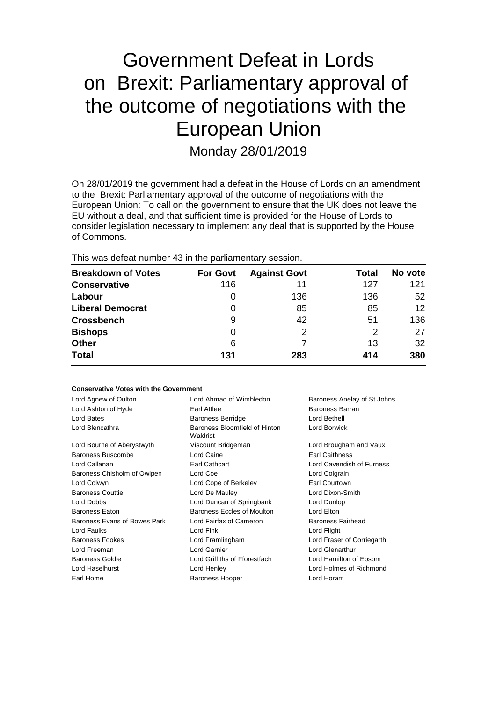# Government Defeat in Lords on Brexit: Parliamentary approval of the outcome of negotiations with the European Union

Monday 28/01/2019

On 28/01/2019 the government had a defeat in the House of Lords on an amendment to the Brexit: Parliamentary approval of the outcome of negotiations with the European Union: To call on the government to ensure that the UK does not leave the EU without a deal, and that sufficient time is provided for the House of Lords to consider legislation necessary to implement any deal that is supported by the House of Commons.

This was defeat number 43 in the parliamentary session.

| <b>Breakdown of Votes</b> | <b>For Govt</b> | <b>Against Govt</b> | Total | No vote |
|---------------------------|-----------------|---------------------|-------|---------|
| <b>Conservative</b>       | 116             | 11                  | 127   | 121     |
| Labour                    | O               | 136                 | 136   | 52      |
| <b>Liberal Democrat</b>   | 0               | 85                  | 85    | 12      |
| <b>Crossbench</b>         | 9               | 42                  | 51    | 136     |
| <b>Bishops</b>            | 0               | 2                   | 2     | 27      |
| <b>Other</b>              | 6               |                     | 13    | 32      |
| <b>Total</b>              | 131             | 283                 | 414   | 380     |

### **Conservative Votes with the Government**

| Lord Agnew of Oulton         | Lord Ahmad of Wimbledon                   | Baroness Anelay of St Johns |
|------------------------------|-------------------------------------------|-----------------------------|
| Lord Ashton of Hyde          | Baroness Barran<br>Earl Attlee            |                             |
| Lord Bates                   | <b>Baroness Berridge</b>                  | Lord Bethell                |
| Lord Blencathra              | Baroness Bloomfield of Hinton<br>Waldrist | Lord Borwick                |
| Lord Bourne of Aberystwyth   | Viscount Bridgeman                        | Lord Brougham and Vaux      |
| <b>Baroness Buscombe</b>     | Lord Caine                                | Earl Caithness              |
| Lord Callanan                | Earl Cathcart                             | Lord Cavendish of Furness   |
| Baroness Chisholm of Owlpen  | Lord Coe                                  | Lord Colgrain               |
| Lord Colwyn                  | Lord Cope of Berkeley                     | Earl Courtown               |
| <b>Baroness Couttie</b>      | Lord De Mauley                            | Lord Dixon-Smith            |
| Lord Dobbs                   | Lord Duncan of Springbank                 | Lord Dunlop                 |
| <b>Baroness Eaton</b>        | Baroness Eccles of Moulton                | Lord Elton                  |
| Baroness Evans of Bowes Park | Lord Fairfax of Cameron                   | Baroness Fairhead           |
| Lord Faulks                  | Lord Fink                                 | Lord Flight                 |
| <b>Baroness Fookes</b>       | Lord Framlingham                          | Lord Fraser of Corriegarth  |
| Lord Freeman                 | Lord Garnier                              | Lord Glenarthur             |
| <b>Baroness Goldie</b>       | Lord Griffiths of Fforestfach             | Lord Hamilton of Epsom      |
| Lord Haselhurst              | Lord Henley                               | Lord Holmes of Richmond     |
| Earl Home                    | <b>Baroness Hooper</b>                    | Lord Horam                  |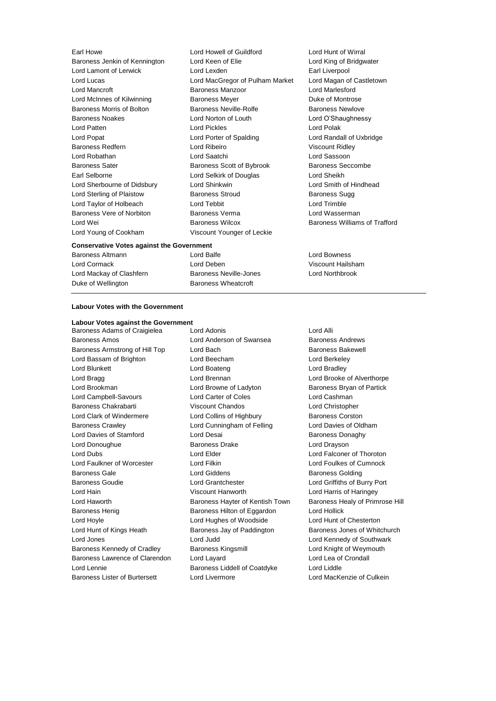| Earl Howe                                 | Lord Howell of Guildford        | Lord Hunt of Wirra             |
|-------------------------------------------|---------------------------------|--------------------------------|
| Baroness Jenkin of Kennington             | Lord Keen of Elie               | Lord King of Bridg             |
| Lord Lamont of Lerwick                    | Lord Lexden                     | Earl Liverpool                 |
| Lord Lucas                                | Lord MacGregor of Pulham Market | Lord Magan of Ca               |
| Lord Mancroft                             | <b>Baroness Manzoor</b>         | Lord Marlesford                |
| Lord McInnes of Kilwinning                | <b>Baroness Meyer</b>           | Duke of Montrose               |
| Baroness Morris of Bolton                 | Baroness Neville-Rolfe          | <b>Baroness Newlove</b>        |
| <b>Baroness Noakes</b>                    | Lord Norton of Louth            | Lord O'Shaughnes               |
| Lord Patten                               | <b>Lord Pickles</b>             | Lord Polak                     |
| Lord Popat                                | Lord Porter of Spalding         | Lord Randall of U <sub>2</sub> |
| <b>Baroness Redfern</b>                   | Lord Ribeiro                    | Viscount Ridley                |
| Lord Robathan                             | Lord Saatchi                    | Lord Sassoon                   |
| <b>Baroness Sater</b>                     | Baroness Scott of Bybrook       | <b>Baroness Seccom</b>         |
| Earl Selborne                             | Lord Selkirk of Douglas         | Lord Sheikh                    |
| Lord Sherbourne of Didsbury               | Lord Shinkwin                   | Lord Smith of Hind             |
| Lord Sterling of Plaistow                 | <b>Baroness Stroud</b>          | <b>Baroness Sugg</b>           |
| Lord Taylor of Holbeach                   | Lord Tebbit                     | Lord Trimble                   |
| Baroness Vere of Norbiton                 | Baroness Verma                  | Lord Wasserman                 |
| Lord Wei                                  | <b>Baroness Wilcox</b>          | <b>Baroness Williams</b>       |
| Lord Young of Cookham                     | Viscount Younger of Leckie      |                                |
| Conservative Votes against the Covernment |                                 |                                |

**Conservative Votes against the Government**

Lord Cormack Lord Deben Viscount Hailsham Lord Mackay of Clashfern Baroness Neville-Jones Lord Northbrook Duke of Wellington **Baroness Wheatcroft** 

Baroness Altmann Lord Balfe Lord Bowness

Lord Hunt of Wirral Lord King of Bridgwater Earl Liverpool Aarket Lord Magan of Castletown Lord Marlesford Baroness Newlove Lord O'Shaughnessy Lord Polak Lord Randall of Uxbridge Viscount Ridley Lord Sassoon Baroness Seccombe Lord Sheikh Lord Smith of Hindhead Baroness Sugg Lord Trimble Lord Wasserman Baroness Williams of Trafford

### **Labour Votes with the Government**

## **Labour Votes against the Government**

Baroness Amos **Lord Anderson of Swansea** Baroness Andrews Baroness Armstrong of Hill Top Lord Bach Baroness Bakewell Lord Bassam of Brighton Lord Beecham Lord Berkeley Lord Blunkett **Lord Boateng** Lord Bradley **Lord Bradley** Lord Bragg Lord Brennan Lord Brooke of Alverthorpe Lord Brookman Lord Browne of Ladyton Baroness Bryan of Partick Lord Campbell-Savours Lord Carter of Coles Lord Cashman Baroness Chakrabarti Viscount Chandos Lord Christopher Lord Clark of Windermere **Lord Collins of Highbury** Baroness Corston Baroness Crawley Lord Cunningham of Felling Lord Davies of Oldham Lord Davies of Stamford **Lord Desai** Baroness Donaghy Lord Donoughue **Baroness Drake** Lord Drayson Lord Dubs Lord Elder Lord Falconer of Thoroton Lord Faulkner of Worcester Lord Filkin Lord Foulkes of Cumnock Baroness Gale **Communist Contract Contract Contract Contract Contract Contract Contract Contract Contract Contract Contract Contract Contract Contract Contract Contract Contract Contract Contract Contract Contract Contract** Baroness Goudie Lord Grantchester Lord Griffiths of Burry Port Lord Hain Viscount Hanworth Lord Harris of Haringey Lord Haworth **Baroness Hayter of Kentish Town** Baroness Healy of Primrose Hill Baroness Henig Baroness Hilton of Eggardon Lord Hollick Lord Hoyle Lord Hughes of Woodside Lord Hunt of Chesterton Lord Hunt of Kings Heath Baroness Jay of Paddington Baroness Jones of Whitchurch Lord Jones Lord Judd Lord Kennedy of Southwark Baroness Kennedy of Cradley **Baroness Kingsmill Baroness Lord Knight of Weymouth** Baroness Lawrence of Clarendon Lord Layard Lord Lea of Crondall Lord Lennie Baroness Liddell of Coatdyke Lord Liddle Baroness Lister of Burtersett Lord Livermore Lord Lord MacKenzie of Culkein

Baroness Adams of Craigielea Lord Adonis Lord Annual Lord Alli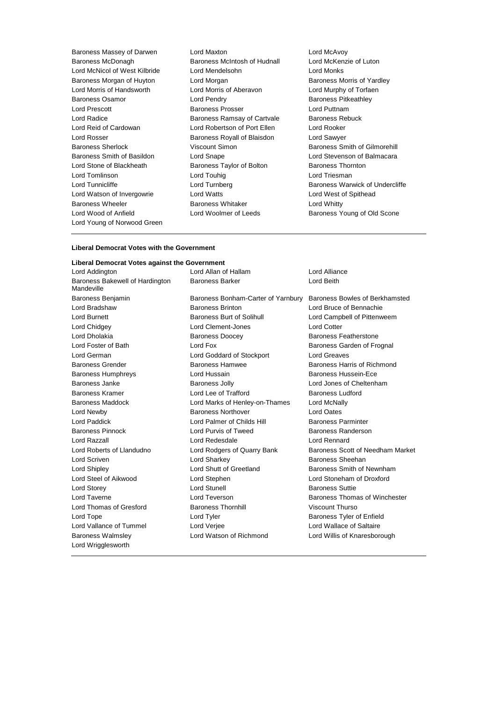Baroness Massey of Darwen Lord Maxton Lord McAvoy Baroness McDonagh Baroness McIntosh of Hudnall Lord McKenzie of Luton Lord McNicol of West Kilbride Lord Mendelsohn Lord Monks Baroness Morgan of Huyton Lord Morgan **Baroness Morris of Yardley** Lord Morris of Handsworth Lord Morris of Aberavon Lord Murphy of Torfaen Baroness Osamor **Example 2** Lord Pendry **Example 2 Baroness Pitkeathley** Lord Prescott **Baroness Prosser Baroness Prosser Lord Puttnam** Lord Radice **Baroness Ramsay of Cartvale** Baroness Rebuck Lord Reid of Cardowan Lord Robertson of Port Ellen Lord Rooker Lord Rosser **Baroness Royall of Blaisdon** Lord Sawyer Baroness Sherlock Viscount Simon Baroness Smith of Gilmorehill Baroness Smith of Basildon Lord Snape Lord Stevenson of Balmacara Lord Stone of Blackheath Baroness Taylor of Bolton Baroness Thornton Lord Tomlinson **Lord Touhig Lord Touhig Lord Triesman** Lord Tunnicliffe **Lord Turnberg** Lord Turnberg **Baroness Warwick of Undercliffe** Lord Watson of Invergowrie Lord Watts Lord West of Spithead Baroness Wheeler **Baroness Whitaker** Lord Whitty Lord Wood of Anfield **Lord Woolmer of Leeds** Baroness Young of Old Scone Lord Young of Norwood Green

### **Liberal Democrat Votes with the Government**

### **Liberal Democrat Votes against the Government**

Lord Addington Lord Allan of Hallam Lord Alliance Baroness Bakewell of Hardington Mandeville Baroness Walmsley Lord Watson of Richmond Lord Willis of Knaresborough Lord Wrigglesworth

Baroness Benjamin Baroness Bonham-Carter of Yarnbury Baroness Bowles of Berkhamsted Lord Bradshaw Baroness Brinton Lord Bruce of Bennachie Lord Burnett Baroness Burt of Solihull Lord Campbell of Pittenweem Lord Chidgey Lord Clement-Jones Lord Cotter Lord Dholakia Baroness Doocey Baroness Featherstone Lord Foster of Bath **Lord Fox** Lord Fox **Baroness Garden of Frognal** Lord German Lord Goddard of Stockport Lord Greaves Baroness Grender **Baroness Hamwee** Baroness Hamwee Baroness Harris of Richmond Baroness Humphreys Lord Hussain Baroness Hussein-Ece Baroness Janke Baroness Jolly Lord Jones of Cheltenham Baroness Kramer **Example 2** Lord Lee of Trafford **Baroness Ludford** Baroness Ludford Baroness Maddock Lord Marks of Henley-on-Thames Lord McNally Lord Newby Baroness Northover Lord Oates Lord Paddick **Lord Palmer of Childs Hill Baroness Parminter** Baroness Pinnock Lord Purvis of Tweed Baroness Randerson Lord Razzall Lord Redesdale Lord Rennard Lord Scriven **Lord Sharkey Lord Sharkey Baroness Sheehan** Lord Shipley Lord Shutt of Greetland Baroness Smith of Newnham Lord Steel of Aikwood Lord Stephen Lord Stoneham of Droxford Lord Storey **Lord Stunell** Lord Stunell **Baroness** Suttie Lord Thomas of Gresford Baroness Thornhill Viscount Thurso Lord Tope Lord Tyler Baroness Tyler of Enfield Lord Vallance of Tummel Lord Verjee Lord Wallace of Saltaire

Baroness Barker **Lord Beith** 

Lord Roberts of Llandudno Lord Rodgers of Quarry Bank Baroness Scott of Needham Market Lord Taverne **Lord Teverson** Baroness Thomas of Winchester